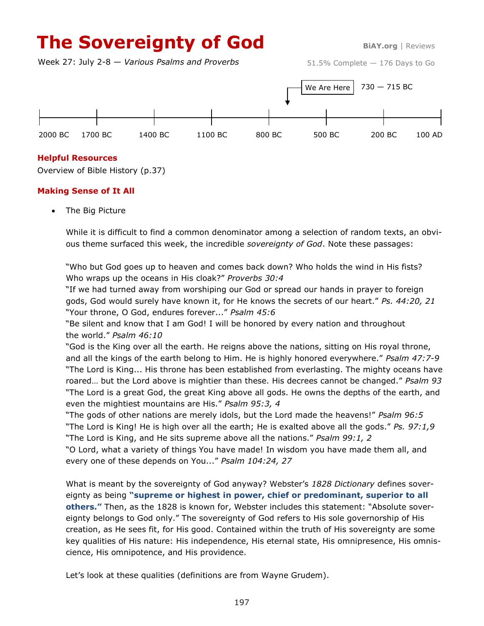# **The Sovereignty of God** BIAY.org | Reviews

Week 27: July 2-8 — *Various Psalms and Proverbs*



## **Helpful Resources**

Overview of Bible History (p.37)

## **Making Sense of It All**

The Big Picture

While it is difficult to find a common denominator among a selection of random texts, an obvious theme surfaced this week, the incredible *sovereignty of God*. Note these passages:

"Who but God goes up to heaven and comes back down? Who holds the wind in His fists? Who wraps up the oceans in His cloak?" *Proverbs 30:4*

"If we had turned away from worshiping our God or spread our hands in prayer to foreign gods, God would surely have known it, for He knows the secrets of our heart." *Ps. 44:20, 21* "Your throne, O God, endures forever..." *Psalm 45:6*

"Be silent and know that I am God! I will be honored by every nation and throughout the world." *Psalm 46:10*

"God is the King over all the earth. He reigns above the nations, sitting on His royal throne, and all the kings of the earth belong to Him. He is highly honored everywhere." *Psalm 47:7-9* "The Lord is King... His throne has been established from everlasting. The mighty oceans have roared… but the Lord above is mightier than these. His decrees cannot be changed." *Psalm 93* "The Lord is a great God, the great King above all gods. He owns the depths of the earth, and even the mightiest mountains are His." *Psalm 95:3, 4*

"The gods of other nations are merely idols, but the Lord made the heavens!" *Psalm 96:5* "The Lord is King! He is high over all the earth; He is exalted above all the gods." *Ps. 97:1,9* "The Lord is King, and He sits supreme above all the nations." *Psalm 99:1, 2*

"O Lord, what a variety of things You have made! In wisdom you have made them all, and every one of these depends on You..." *Psalm 104:24, 27*

What is meant by the sovereignty of God anyway? Webster's *1828 Dictionary* defines sovereignty as being **"supreme or highest in power, chief or predominant, superior to all others."** Then, as the 1828 is known for, Webster includes this statement: "Absolute sovereignty belongs to God only." The sovereignty of God refers to His sole governorship of His creation, as He sees fit, for His good. Contained within the truth of His sovereignty are some key qualities of His nature: His independence, His eternal state, His omnipresence, His omniscience, His omnipotence, and His providence.

Let's look at these qualities (definitions are from Wayne Grudem).